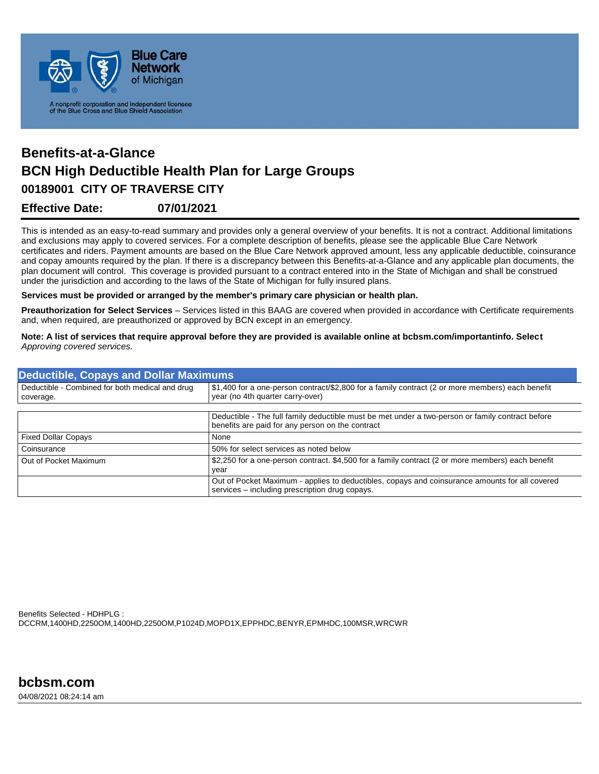

## **Effective Date: 07/01/2021 00189001 CITY OF TRAVERSE CITY Benefits-at-a-Glance BCN High Deductible Health Plan for Large Groups**

This is intended as an easy-to-read summary and provides only a general overview of your benefits. It is not a contract. Additional limitations and exclusions may apply to covered services. For a complete description of benefits, please see the applicable Blue Care Network certificates and riders. Payment amounts are based on the Blue Care Network approved amount, less any applicable deductible, coinsurance and copay amounts required by the plan. If there is a discrepancy between this Benefits-at-a-Glance and any applicable plan documents, the plan document will control. This coverage is provided pursuant to a contract entered into in the State of Michigan and shall be construed under the jurisdiction and according to the laws of the State of Michigan for fully insured plans.

**Services must be provided or arranged by the member's primary care physician or health plan.**

**Preauthorization for Select Services** – Services listed in this BAAG are covered when provided in accordance with Certificate requirements and, when required, are preauthorized or approved by BCN except in an emergency.

**Note: A list of services that require approval before they are provided is available online at bcbsm.com/importantinfo. Select** *Approving covered services.*

| <b>Deductible, Copays and Dollar Maximums</b>                |                                                                                                                                                  |  |
|--------------------------------------------------------------|--------------------------------------------------------------------------------------------------------------------------------------------------|--|
| Deductible - Combined for both medical and drug<br>coverage. | \$1,400 for a one-person contract/\$2,800 for a family contract (2 or more members) each benefit<br>year (no 4th quarter carry-over)             |  |
|                                                              | Deductible - The full family deductible must be met under a two-person or family contract before                                                 |  |
|                                                              | benefits are paid for any person on the contract                                                                                                 |  |
| <b>Fixed Dollar Copays</b>                                   | None                                                                                                                                             |  |
| Coinsurance                                                  | 50% for select services as noted below                                                                                                           |  |
| Out of Pocket Maximum                                        | \$2,250 for a one-person contract. \$4,500 for a family contract (2 or more members) each benefit<br>year                                        |  |
|                                                              | Out of Pocket Maximum - applies to deductibles, copays and coinsurance amounts for all covered<br>services – including prescription drug copays. |  |

Benefits Selected - HDHPLG : DCCRM,1400HD,2250OM,1400HD,2250OM,P1024D,MOPD1X,EPPHDC,BENYR,EPMHDC,100MSR,WRCWR

04/08/2021 08:24:14 am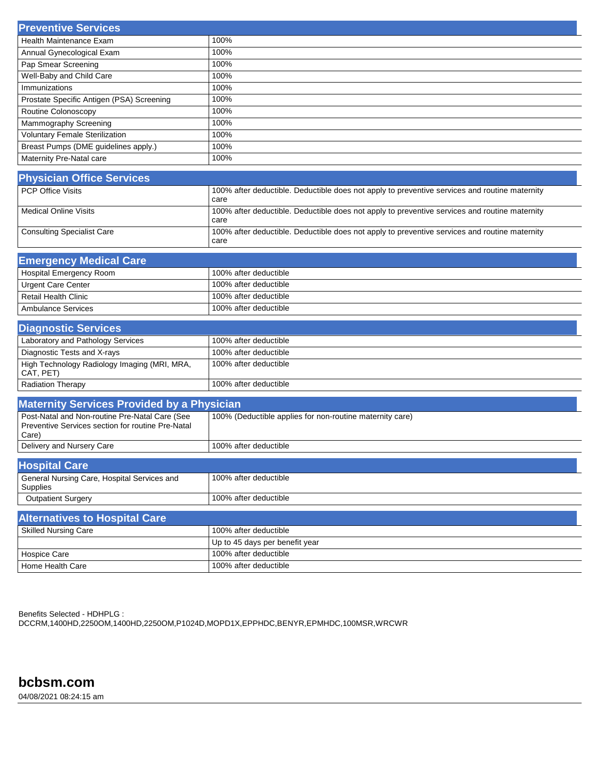| <b>Preventive Services</b>                |      |
|-------------------------------------------|------|
| Health Maintenance Exam                   | 100% |
| Annual Gynecological Exam                 | 100% |
| Pap Smear Screening                       | 100% |
| Well-Baby and Child Care                  | 100% |
| Immunizations                             | 100% |
| Prostate Specific Antigen (PSA) Screening | 100% |
| Routine Colonoscopy                       | 100% |
| Mammography Screening                     | 100% |
| <b>Voluntary Female Sterilization</b>     | 100% |
| Breast Pumps (DME guidelines apply.)      | 100% |
| Maternity Pre-Natal care                  | 100% |

| <b>Physician Office Services</b>  |                                                                                                       |
|-----------------------------------|-------------------------------------------------------------------------------------------------------|
| <b>PCP Office Visits</b>          | 100% after deductible. Deductible does not apply to preventive services and routine maternity<br>care |
| Medical Online Visits             | 100% after deductible. Deductible does not apply to preventive services and routine maternity<br>care |
| <b>Consulting Specialist Care</b> | 100% after deductible. Deductible does not apply to preventive services and routine maternity<br>care |

| <b>Emergency Medical Care</b> |                       |
|-------------------------------|-----------------------|
| Hospital Emergency Room       | 100% after deductible |
| <b>Urgent Care Center</b>     | 100% after deductible |
| Retail Health Clinic          | 100% after deductible |
| Ambulance Services            | 100% after deductible |

| <b>Diagnostic Services</b>                                |                         |
|-----------------------------------------------------------|-------------------------|
| Laboratory and Pathology Services                         | 100% after deductible   |
| Diagnostic Tests and X-rays                               | 100% after deductible   |
| High Technology Radiology Imaging (MRI, MRA,<br>CAT, PET) | l 100% after deductible |
| <b>Radiation Therapy</b>                                  | 100% after deductible   |

| <b>Maternity Services Provided by a Physician</b>                                                            |                                                          |
|--------------------------------------------------------------------------------------------------------------|----------------------------------------------------------|
| Post-Natal and Non-routine Pre-Natal Care (See<br>Preventive Services section for routine Pre-Natal<br>Care) | 100% (Deductible applies for non-routine maternity care) |
| Delivery and Nursery Care                                                                                    | 100% after deductible                                    |

| <b>Hospital Care</b>                                    |                                |
|---------------------------------------------------------|--------------------------------|
| General Nursing Care, Hospital Services and<br>Supplies | 100% after deductible          |
| <b>Outpatient Surgery</b>                               | 100% after deductible          |
| <b>Alternatives to Hospital Care</b>                    |                                |
| <b>Skilled Nursing Care</b>                             | 100% after deductible          |
|                                                         | Up to 45 days per benefit year |
| <b>Hospice Care</b>                                     | 100% after deductible          |

Benefits Selected - HDHPLG : DCCRM,1400HD,2250OM,1400HD,2250OM,P1024D,MOPD1X,EPPHDC,BENYR,EPMHDC,100MSR,WRCWR

Home Health Care 100% after deductible

**bcbsm.com**

04/08/2021 08:24:15 am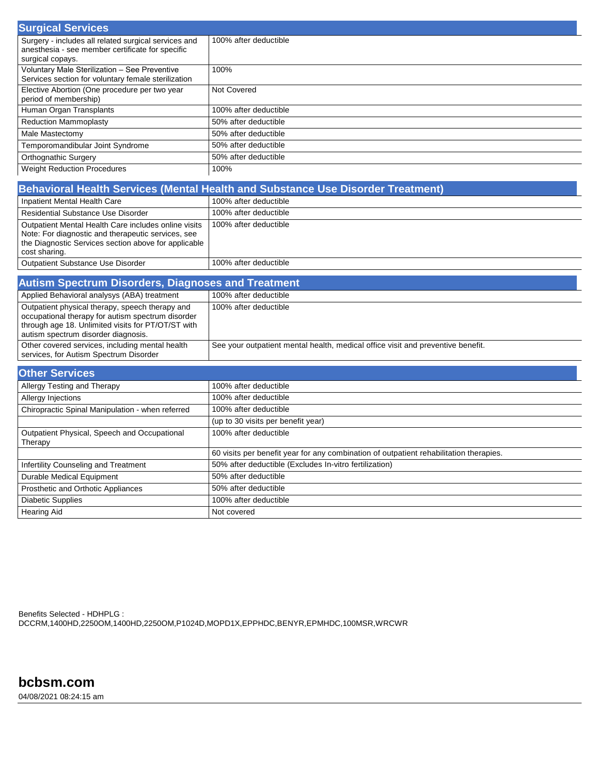| <b>Surgical Services</b>                                                                                                     |                       |
|------------------------------------------------------------------------------------------------------------------------------|-----------------------|
| Surgery - includes all related surgical services and<br>anesthesia - see member certificate for specific<br>surgical copays. | 100% after deductible |
| Voluntary Male Sterilization - See Preventive<br>Services section for voluntary female sterilization                         | 100%                  |
| Elective Abortion (One procedure per two year<br>period of membership)                                                       | Not Covered           |
| Human Organ Transplants                                                                                                      | 100% after deductible |
| <b>Reduction Mammoplasty</b>                                                                                                 | 50% after deductible  |
| Male Mastectomy                                                                                                              | 50% after deductible  |
| Temporomandibular Joint Syndrome                                                                                             | 50% after deductible  |
| <b>Orthognathic Surgery</b>                                                                                                  | 50% after deductible  |
| <b>Weight Reduction Procedures</b>                                                                                           | 100%                  |

| Behavioral Health Services (Mental Health and Substance Use Disorder Treatment)                                                                                                     |                       |
|-------------------------------------------------------------------------------------------------------------------------------------------------------------------------------------|-----------------------|
| Inpatient Mental Health Care                                                                                                                                                        | 100% after deductible |
| <b>Residential Substance Use Disorder</b>                                                                                                                                           | 100% after deductible |
| Outpatient Mental Health Care includes online visits<br>Note: For diagnostic and therapeutic services, see<br>the Diagnostic Services section above for applicable<br>cost sharing. | 100% after deductible |
| Outpatient Substance Use Disorder                                                                                                                                                   | 100% after deductible |
| <b>Contract Contract Contract Contract</b><br>the company's company's company's company's company's<br>______                                                                       |                       |

| <b>Autism Spectrum Disorders, Diagnoses and Treatment</b>                                                                                                                                         |                                                                                 |  |
|---------------------------------------------------------------------------------------------------------------------------------------------------------------------------------------------------|---------------------------------------------------------------------------------|--|
| Applied Behavioral analysys (ABA) treatment                                                                                                                                                       | 100% after deductible                                                           |  |
| Outpatient physical therapy, speech therapy and<br>occupational therapy for autism spectrum disorder<br>through age 18. Unlimited visits for PT/OT/ST with<br>autism spectrum disorder diagnosis. | 100% after deductible                                                           |  |
| Other covered services, including mental health<br>services, for Autism Spectrum Disorder                                                                                                         | See your outpatient mental health, medical office visit and preventive benefit. |  |

| <b>Other Services</b>                                   |                                                                                        |
|---------------------------------------------------------|----------------------------------------------------------------------------------------|
| Allergy Testing and Therapy                             | 100% after deductible                                                                  |
| Allergy Injections                                      | 100% after deductible                                                                  |
| Chiropractic Spinal Manipulation - when referred        | 100% after deductible                                                                  |
|                                                         | (up to 30 visits per benefit year)                                                     |
| Outpatient Physical, Speech and Occupational<br>Therapy | 100% after deductible                                                                  |
|                                                         | 60 visits per benefit year for any combination of outpatient rehabilitation therapies. |
| Infertility Counseling and Treatment                    | 50% after deductible (Excludes In-vitro fertilization)                                 |
| Durable Medical Equipment                               | 50% after deductible                                                                   |
| Prosthetic and Orthotic Appliances                      | 50% after deductible                                                                   |
| <b>Diabetic Supplies</b>                                | 100% after deductible                                                                  |
| <b>Hearing Aid</b>                                      | Not covered                                                                            |

Benefits Selected - HDHPLG : DCCRM,1400HD,2250OM,1400HD,2250OM,P1024D,MOPD1X,EPPHDC,BENYR,EPMHDC,100MSR,WRCWR

**bcbsm.com**

04/08/2021 08:24:15 am